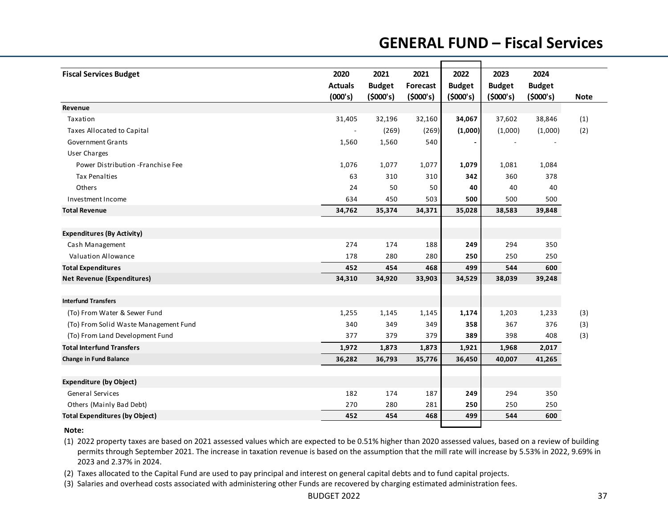## **GENERAL FUND – Fiscal Services**

| <b>Fiscal Services Budget</b>         | 2020                     | 2021          | 2021     | 2022          | 2023          | 2024          |             |
|---------------------------------------|--------------------------|---------------|----------|---------------|---------------|---------------|-------------|
|                                       | <b>Actuals</b>           | <b>Budget</b> | Forecast | <b>Budget</b> | <b>Budget</b> | <b>Budget</b> |             |
|                                       | (000's)                  | (5000's)      | (5000's) | (5000's)      | (5000's)      | (5000's)      | <b>Note</b> |
| Revenue                               |                          |               |          |               |               |               |             |
| Taxation                              | 31,405                   | 32,196        | 32,160   | 34,067        | 37,602        | 38,846        | (1)         |
| Taxes Allocated to Capital            | $\overline{\phantom{a}}$ | (269)         | (269)    | (1,000)       | (1,000)       | (1,000)       | (2)         |
| <b>Government Grants</b>              | 1,560                    | 1,560         | 540      |               |               |               |             |
| <b>User Charges</b>                   |                          |               |          |               |               |               |             |
| Power Distribution - Franchise Fee    | 1,076                    | 1,077         | 1,077    | 1,079         | 1,081         | 1,084         |             |
| <b>Tax Penalties</b>                  | 63                       | 310           | 310      | 342           | 360           | 378           |             |
| Others                                | 24                       | 50            | 50       | 40            | 40            | 40            |             |
| Investment Income                     | 634                      | 450           | 503      | 500           | 500           | 500           |             |
| <b>Total Revenue</b>                  | 34,762                   | 35,374        | 34,371   | 35,028        | 38,583        | 39,848        |             |
| <b>Expenditures (By Activity)</b>     |                          |               |          |               |               |               |             |
| Cash Management                       | 274                      | 174           | 188      | 249           | 294           | 350           |             |
| <b>Valuation Allowance</b>            | 178                      | 280           | 280      | 250           | 250           | 250           |             |
| <b>Total Expenditures</b>             | 452                      | 454           | 468      | 499           | 544           | 600           |             |
| <b>Net Revenue (Expenditures)</b>     | 34,310                   | 34,920        | 33,903   | 34,529        | 38,039        | 39,248        |             |
| <b>Interfund Transfers</b>            |                          |               |          |               |               |               |             |
| (To) From Water & Sewer Fund          | 1,255                    | 1,145         | 1,145    | 1,174         | 1,203         | 1,233         | (3)         |
| (To) From Solid Waste Management Fund | 340                      | 349           | 349      | 358           | 367           | 376           | (3)         |
| (To) From Land Development Fund       | 377                      | 379           | 379      | 389           | 398           | 408           | (3)         |
| <b>Total Interfund Transfers</b>      | 1,972                    | 1,873         | 1,873    | 1,921         | 1,968         | 2,017         |             |
| <b>Change in Fund Balance</b>         | 36,282                   | 36,793        | 35,776   | 36,450        | 40,007        | 41,265        |             |
|                                       |                          |               |          |               |               |               |             |
| <b>Expenditure (by Object)</b>        |                          |               |          |               |               |               |             |
| <b>General Services</b>               | 182                      | 174           | 187      | 249           | 294           | 350           |             |
| Others (Mainly Bad Debt)              | 270                      | 280           | 281      | 250           | 250           | 250           |             |
| <b>Total Expenditures (by Object)</b> | 452                      | 454           | 468      | 499           | 544           | 600           |             |

**Note:**

(1) 2022 property taxes are based on 2021 assessed values which are expected to be 0.51% higher than 2020 assessed values, based on <sup>a</sup> review of building permits through September 2021. The increase in taxation revenue is based on the assumption that the mill rate will increase by 5.53% in 2022, 9.69% in 2023 and 2.37% in 2024.

(2) Taxes allocated to the Capital Fund are used to pay principal and interest on general capital debts and to fund capital projects.

(3) Salaries and overhead costs associated with administering other Funds are recovered by charging estimated administration fees.